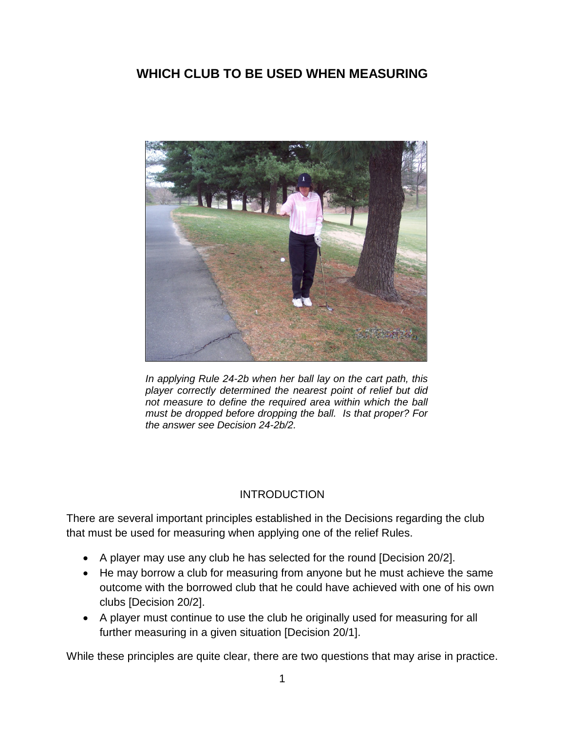# **WHICH CLUB TO BE USED WHEN MEASURING**



*In applying Rule 24-2b when her ball lay on the cart path, this player correctly determined the nearest point of relief but did not measure to define the required area within which the ball must be dropped before dropping the ball. Is that proper? For the answer see Decision 24-2b/2.*

#### INTRODUCTION

There are several important principles established in the Decisions regarding the club that must be used for measuring when applying one of the relief Rules.

- A player may use any club he has selected for the round [Decision 20/2].
- He may borrow a club for measuring from anyone but he must achieve the same outcome with the borrowed club that he could have achieved with one of his own clubs [Decision 20/2].
- A player must continue to use the club he originally used for measuring for all further measuring in a given situation [Decision 20/1].

While these principles are quite clear, there are two questions that may arise in practice.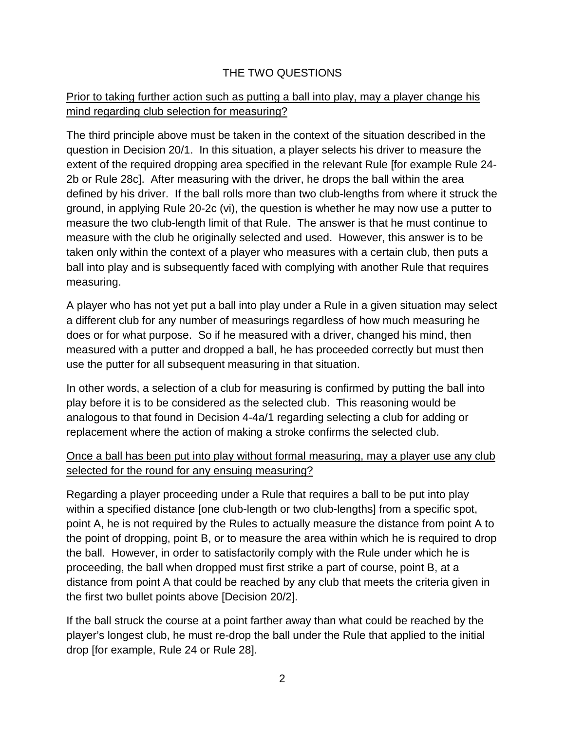## THE TWO QUESTIONS

## Prior to taking further action such as putting a ball into play, may a player change his mind regarding club selection for measuring?

The third principle above must be taken in the context of the situation described in the question in Decision 20/1. In this situation, a player selects his driver to measure the extent of the required dropping area specified in the relevant Rule [for example Rule 24- 2b or Rule 28c]. After measuring with the driver, he drops the ball within the area defined by his driver. If the ball rolls more than two club-lengths from where it struck the ground, in applying Rule 20-2c (vi), the question is whether he may now use a putter to measure the two club-length limit of that Rule. The answer is that he must continue to measure with the club he originally selected and used. However, this answer is to be taken only within the context of a player who measures with a certain club, then puts a ball into play and is subsequently faced with complying with another Rule that requires measuring.

A player who has not yet put a ball into play under a Rule in a given situation may select a different club for any number of measurings regardless of how much measuring he does or for what purpose. So if he measured with a driver, changed his mind, then measured with a putter and dropped a ball, he has proceeded correctly but must then use the putter for all subsequent measuring in that situation.

In other words, a selection of a club for measuring is confirmed by putting the ball into play before it is to be considered as the selected club. This reasoning would be analogous to that found in Decision 4-4a/1 regarding selecting a club for adding or replacement where the action of making a stroke confirms the selected club.

## Once a ball has been put into play without formal measuring, may a player use any club selected for the round for any ensuing measuring?

Regarding a player proceeding under a Rule that requires a ball to be put into play within a specified distance [one club-length or two club-lengths] from a specific spot, point A, he is not required by the Rules to actually measure the distance from point A to the point of dropping, point B, or to measure the area within which he is required to drop the ball. However, in order to satisfactorily comply with the Rule under which he is proceeding, the ball when dropped must first strike a part of course, point B, at a distance from point A that could be reached by any club that meets the criteria given in the first two bullet points above [Decision 20/2].

If the ball struck the course at a point farther away than what could be reached by the player's longest club, he must re-drop the ball under the Rule that applied to the initial drop [for example, Rule 24 or Rule 28].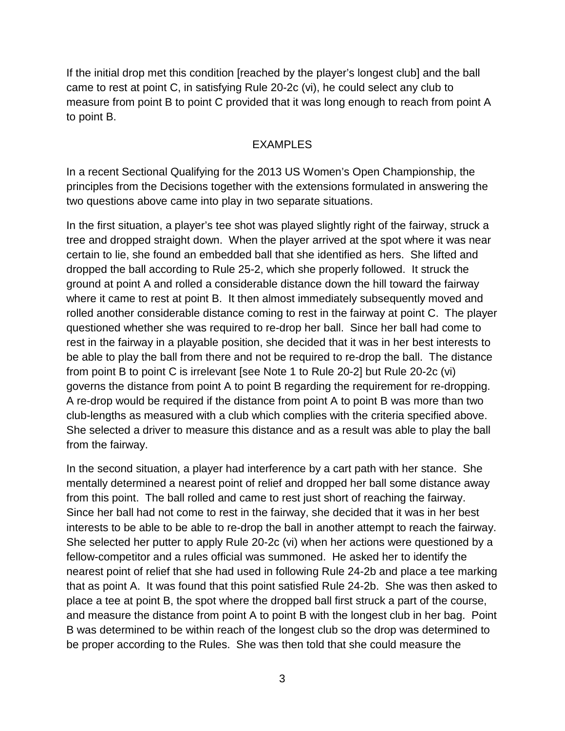If the initial drop met this condition [reached by the player's longest club] and the ball came to rest at point C, in satisfying Rule 20-2c (vi), he could select any club to measure from point B to point C provided that it was long enough to reach from point A to point B.

#### EXAMPLES

In a recent Sectional Qualifying for the 2013 US Women's Open Championship, the principles from the Decisions together with the extensions formulated in answering the two questions above came into play in two separate situations.

In the first situation, a player's tee shot was played slightly right of the fairway, struck a tree and dropped straight down. When the player arrived at the spot where it was near certain to lie, she found an embedded ball that she identified as hers. She lifted and dropped the ball according to Rule 25-2, which she properly followed. It struck the ground at point A and rolled a considerable distance down the hill toward the fairway where it came to rest at point B. It then almost immediately subsequently moved and rolled another considerable distance coming to rest in the fairway at point C. The player questioned whether she was required to re-drop her ball. Since her ball had come to rest in the fairway in a playable position, she decided that it was in her best interests to be able to play the ball from there and not be required to re-drop the ball. The distance from point B to point C is irrelevant [see Note 1 to Rule 20-2] but Rule 20-2c (vi) governs the distance from point A to point B regarding the requirement for re-dropping. A re-drop would be required if the distance from point A to point B was more than two club-lengths as measured with a club which complies with the criteria specified above. She selected a driver to measure this distance and as a result was able to play the ball from the fairway.

In the second situation, a player had interference by a cart path with her stance. She mentally determined a nearest point of relief and dropped her ball some distance away from this point. The ball rolled and came to rest just short of reaching the fairway. Since her ball had not come to rest in the fairway, she decided that it was in her best interests to be able to be able to re-drop the ball in another attempt to reach the fairway. She selected her putter to apply Rule 20-2c (vi) when her actions were questioned by a fellow-competitor and a rules official was summoned. He asked her to identify the nearest point of relief that she had used in following Rule 24-2b and place a tee marking that as point A. It was found that this point satisfied Rule 24-2b. She was then asked to place a tee at point B, the spot where the dropped ball first struck a part of the course, and measure the distance from point A to point B with the longest club in her bag. Point B was determined to be within reach of the longest club so the drop was determined to be proper according to the Rules. She was then told that she could measure the